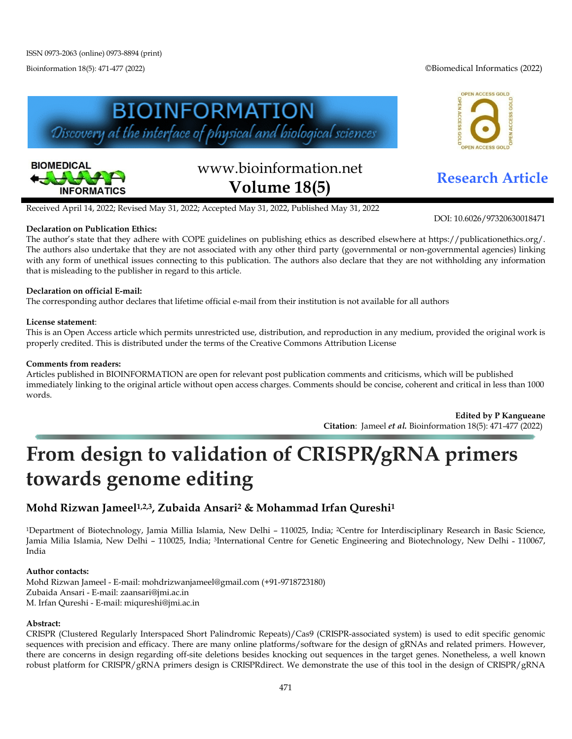Bioinformation 18(5): 471-477 (2022) ©Biomedical Informatics (2022)





# www.bioinformation.net **Research Article Volume 18(5)**

OPEN ACCESS GOLD **ACCESS GO** 

DOI: 10.6026/97320630018471

Received April 14, 2022; Revised May 31, 2022; Accepted May 31, 2022, Published May 31, 2022

# **Declaration on Publication Ethics:**

The author's state that they adhere with COPE guidelines on publishing ethics as described elsewhere at https://publicationethics.org/. The authors also undertake that they are not associated with any other third party (governmental or non-governmental agencies) linking with any form of unethical issues connecting to this publication. The authors also declare that they are not withholding any information that is misleading to the publisher in regard to this article.

# **Declaration on official E-mail:**

The corresponding author declares that lifetime official e-mail from their institution is not available for all authors

# **License statement**:

This is an Open Access article which permits unrestricted use, distribution, and reproduction in any medium, provided the original work is properly credited. This is distributed under the terms of the Creative Commons Attribution License

#### **Comments from readers:**

Articles published in BIOINFORMATION are open for relevant post publication comments and criticisms, which will be published immediately linking to the original article without open access charges. Comments should be concise, coherent and critical in less than 1000 words.

> **Edited by P Kangueane Citation**: Jameel *et al.* Bioinformation 18(5): 471-477 (2022)

# **From design to validation of CRISPR/gRNA primers towards genome editing**

# **Mohd Rizwan Jameel1,2,3, Zubaida Ansari2 & Mohammad Irfan Qureshi1**

1Department of Biotechnology, Jamia Millia Islamia, New Delhi – 110025, India; 2Centre for Interdisciplinary Research in Basic Science, Jamia Milia Islamia, New Delhi - 110025, India; <sup>3</sup>International Centre for Genetic Engineering and Biotechnology, New Delhi - 110067, India

# **Author contacts:**

Mohd Rizwan Jameel - E-mail: mohdrizwanjameel@gmail.com (+91-9718723180) Zubaida Ansari - E-mail: zaansari@jmi.ac.in M. Irfan Qureshi - E-mail: miqureshi@jmi.ac.in

# **Abstract:**

CRISPR (Clustered Regularly Interspaced Short Palindromic Repeats)/Cas9 (CRISPR-associated system) is used to edit specific genomic sequences with precision and efficacy. There are many online platforms/software for the design of gRNAs and related primers. However, there are concerns in design regarding off-site deletions besides knocking out sequences in the target genes. Nonetheless, a well known robust platform for CRISPR/gRNA primers design is CRISPRdirect. We demonstrate the use of this tool in the design of CRISPR/gRNA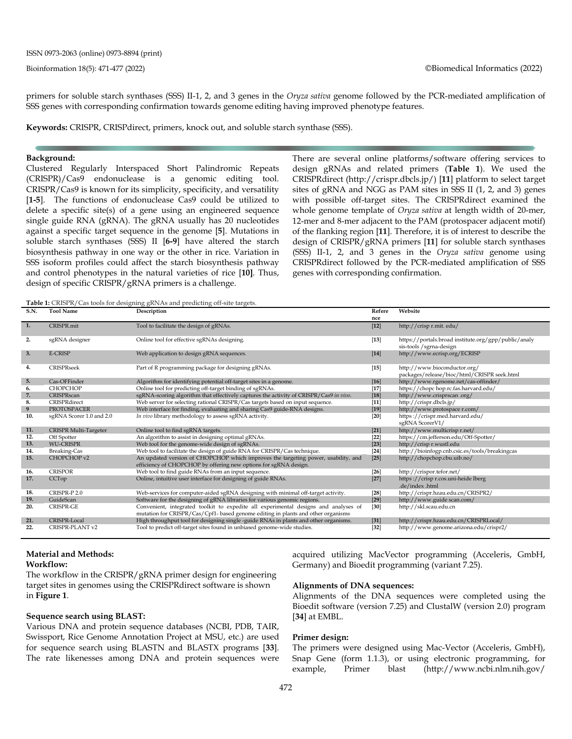primers for soluble starch synthases (SSS) II-1, 2, and 3 genes in the *Oryza sativa* genome followed by the PCR-mediated amplification of SSS genes with corresponding confirmation towards genome editing having improved phenotype features.

**Keywords:** CRISPR, CRISPdirect, primers, knock out, and soluble starch synthase (SSS).

#### **Background:**

Clustered Regularly Interspaced Short Palindromic Repeats (CRISPR)/Cas9 endonuclease is a genomic editing tool. CRISPR/Cas9 is known for its simplicity, specificity, and versatility [**1-5**]. The functions of endonuclease Cas9 could be utilized to delete a specific site(s) of a gene using an engineered sequence single guide RNA (gRNA). The gRNA usually has 20 nucleotides against a specific target sequence in the genome [**5**]. Mutations in soluble starch synthases (SSS) II [**6-9**] have altered the starch biosynthesis pathway in one way or the other in rice. Variation in SSS isoform profiles could affect the starch biosynthesis pathway and control phenotypes in the natural varieties of rice [**10]**. Thus, design of specific CRISPR/gRNA primers is a challenge.

There are several online platforms/software offering services to design gRNAs and related primers (**Table 1**). We used the CRISPRdirect (http://crispr.dbcls.jp/) [**11**] platform to select target sites of gRNA and NGG as PAM sites in SSS II (1, 2, and 3) genes with possible off-target sites. The CRISPRdirect examined the whole genome template of *Oryza sativa* at length width of 20-mer, 12-mer and 8-mer adjacent to the PAM (protospacer adjacent motif) of the flanking region [**11**]. Therefore, it is of interest to describe the design of CRISPR/gRNA primers [**11**] for soluble starch synthases (SSS) II-1, 2, and 3 genes in the *Oryza sativa* genome using CRISPRdirect followed by the PCR-mediated amplification of SSS genes with corresponding confirmation.

**Table 1:** CRISPR/Cas tools for designing gRNAs and predicting off-site targets.

| <b>S.N.</b> | <b>Tool Name</b>         | <b>There I</b> erust hy cas tools for acording gravities and predicting on one angelor<br>Description                                                                   |        | Website                                                                          |  |
|-------------|--------------------------|-------------------------------------------------------------------------------------------------------------------------------------------------------------------------|--------|----------------------------------------------------------------------------------|--|
|             |                          |                                                                                                                                                                         | nce    |                                                                                  |  |
| 1.          | CRISPR.mit               | Tool to facilitate the design of gRNAs.                                                                                                                                 | $[12]$ | http://crisp r.mit. edu/                                                         |  |
| 2.          | sgRNA designer           | Online tool for effective sgRNAs designing.                                                                                                                             | $[13]$ | https://portals.broad institute.org/gpp/public/analy<br>sis-tools / sgrna-design |  |
| 3.          | <b>E-CRISP</b>           | Web application to design gRNA sequences.                                                                                                                               | $[14]$ | http://www.ecrisp.org/ECRISP                                                     |  |
| 4.          | CRISPRseek               | Part of R programming package for designing gRNAs.                                                                                                                      | $[15]$ | http://www.bioconductor.org/<br>packages/release/bioc/html/CRISPR seek.html      |  |
| 5.          | Cas-OFFinder             | Algorithm for identifying potential off-target sites in a genome.                                                                                                       | $[16]$ | http://www.rgenome.net/cas-offinder/                                             |  |
| 6.          | <b>CHOPCHOP</b>          | Online tool for predicting off-target binding of sgRNAs.                                                                                                                | $[17]$ | https://chopc hop.rc.fas.harvard.edu/                                            |  |
| 7.          | CRISPRscan               | sgRNA-scoring algorithm that effectively captures the activity of CRISPR/Cas9 in vivo.                                                                                  | $[18]$ | http://www.crisprscan.org/                                                       |  |
| 8.          | CRISPRdirect             | Web server for selecting rational CRISPR/Cas targets based on input sequence.                                                                                           | $[11]$ | http://crispr.dbcls.jp/                                                          |  |
| 9           | PROTOSPACER              | Web interface for finding, evaluating and sharing Cas9 guide-RNA designs.                                                                                               | $[19]$ | http://www.protospace r.com/                                                     |  |
| 10.         | sgRNA Scorer 1.0 and 2.0 | In vivo library methodology to assess sgRNA activity.                                                                                                                   | $[20]$ | https://crispr.med.harvard.edu/<br>sgRNA ScorerV1/                               |  |
| 11.         | CRISPR Multi-Targeter    | Online tool to find sgRNA targets.                                                                                                                                      | $[21]$ | http://www.multicrispr.net/                                                      |  |
| 12.         | Off Spotter              | An algorithm to assist in designing optimal gRNAs.                                                                                                                      | $[22]$ | https://cm.jefferson.edu/Off-Spotter/                                            |  |
| 13.         | <b>WU-CRISPR</b>         | Web tool for the genome-wide design of sgRNAs.                                                                                                                          | $[23]$ | http://crispr.wustl.edu                                                          |  |
| 14.         | Breaking-Cas             | Web tool to facilitate the design of guide RNA for CRISPR/Cas technique.                                                                                                | $[24]$ | http://bioinfogp.cnb.csic.es/tools/breakingcas                                   |  |
| 15.         | CHOPCHOP v2              | An updated version of CHOPCHOP which improves the targeting power, usability, and<br>efficiency of CHOPCHOP by offering new options for sgRNA design.                   | $[25]$ | http://chopchop.cbu.uib.no/                                                      |  |
| 16.         | <b>CRISPOR</b>           | Web tool to find guide RNAs from an input sequence.                                                                                                                     | $[26]$ | http://crispor.tefor.net/                                                        |  |
| 17.         | CCTop                    | Online, intuitive user interface for designing of guide RNAs.                                                                                                           | $[27]$ | https://crispr.cos.uni-heidelberg<br>.de/index .html                             |  |
| 18.         | CRISPR-P 2.0             | Web-services for computer-aided sgRNA designing with minimal off-target activity.                                                                                       | $[28]$ | http://crispr.hzau.edu.cn/CRISPR2/                                               |  |
| 19.         | GuideScan                | Software for the designing of gRNA libraries for various genomic regions.                                                                                               | $[29]$ | http://www.guide scan.com/                                                       |  |
| 20.         | CRISPR-GE                | Convenient, integrated toolkit to expedite all experimental designs and analyses of<br>mutation for CRISPR/Cas/Cpf1- based genome editing in plants and other organisms | $[30]$ | http://skl.scau.edu.cn                                                           |  |
| 21.         | CRISPR-Local             | High throughput tool for designing single -guide RNAs in plants and other organisms.                                                                                    | $[31]$ | http://crispr.hzau.edu.cn/CRISPRLocal/                                           |  |
| 22.         | CRISPR-PLANT v2          | Tool to predict off-target sites found in unbiased genome-wide studies.                                                                                                 | $[32]$ | http://www.genome.arizona.edu/crispr2/                                           |  |

#### **Material and Methods:**

#### **Workflow:**

The workflow in the CRISPR/gRNA primer design for engineering target sites in genomes using the CRISPRdirect software is shown in **Figure 1**.

#### **Sequence search using BLAST:**

Various DNA and protein sequence databases (NCBI, PDB, TAIR, Swissport, Rice Genome Annotation Project at MSU, etc.) are used for sequence search using BLASTN and BLASTX programs [**33**]. The rate likenesses among DNA and protein sequences were acquired utilizing MacVector programming (Acceleris, GmbH, Germany) and Bioedit programming (variant 7.25).

#### **Alignments of DNA sequences:**

Alignments of the DNA sequences were completed using the Bioedit software (version 7.25) and ClustalW (version 2.0) program [**34**] at EMBL.

#### **Primer design:**

The primers were designed using Mac-Vector (Acceleris, GmbH), Snap Gene (form 1.1.3), or using electronic programming, for example, Primer blast (http://www.ncbi.nlm.nih.gov/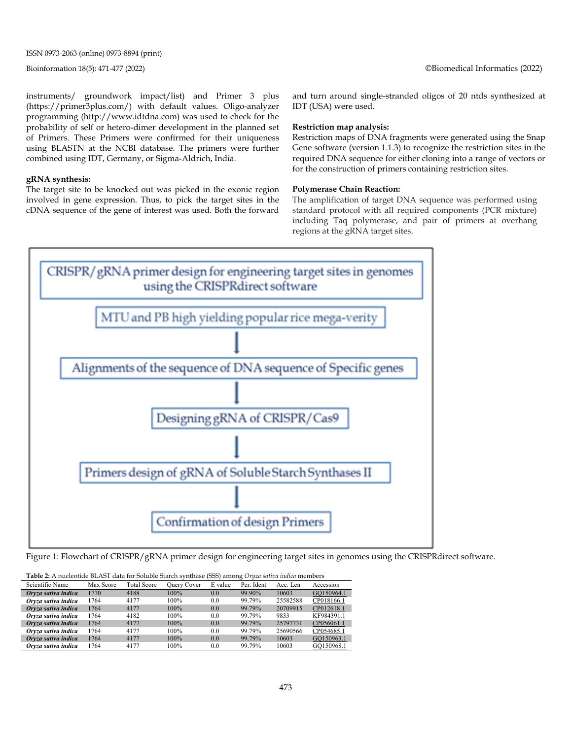ISSN 0973-2063 (online) 0973-8894 (print)

instruments/ groundwork impact/list) and Primer 3 plus (https://primer3plus.com/) with default values. Oligo-analyzer programming (http://www.idtdna.com) was used to check for the probability of self or hetero-dimer development in the planned set of Primers. These Primers were confirmed for their uniqueness using BLASTN at the NCBI database. The primers were further combined using IDT, Germany, or Sigma-Aldrich, India.

#### **gRNA synthesis:**

The target site to be knocked out was picked in the exonic region involved in gene expression. Thus, to pick the target sites in the cDNA sequence of the gene of interest was used. Both the forward and turn around single-stranded oligos of 20 ntds synthesized at IDT (USA) were used.

#### **Restriction map analysis:**

Restriction maps of DNA fragments were generated using the Snap Gene software (version 1.1.3) to recognize the restriction sites in the required DNA sequence for either cloning into a range of vectors or for the construction of primers containing restriction sites.

#### **Polymerase Chain Reaction:**

The amplification of target DNA sequence was performed using standard protocol with all required components (PCR mixture) including Taq polymerase, and pair of primers at overhang regions at the gRNA target sites.



Figure 1: Flowchart of CRISPR/gRNA primer design for engineering target sites in genomes using the CRISPRdirect software.

| Scientific Name     | Max Score | Total Score | Query Cover | E value | Per. Ident | Acc. Len | Accession  |
|---------------------|-----------|-------------|-------------|---------|------------|----------|------------|
| Oryza sativa indica | 1770      | 4188        | $100\%$     | 0.0     | 99.90%     | 10603    | GO150964.1 |
| Orvza sativa indica | 1764      | 4177        | 100%        | 0.0     | 99.79%     | 25582588 | CP018166.1 |
| Orvza sativa indica | 1764      | 4177        | 100%        | 0.0     | 99.79%     | 20709915 | CP012618.1 |
| Oryza sativa indica | 1764      | 4182        | 100%        | 0.0     | 99.79%     | 9833     | KF984391.1 |
| Oryza sativa indica | 1764      | 4177        | $100\%$     | 0.0     | 99.79%     | 25797731 | CP056061.1 |
| Orvza sativa indica | 1764      | 4177        | 100%        | 0.0     | 99.79%     | 25690566 | CP054685.1 |
| Oryza sativa indica | 1764      | 4177        | $100\%$     | 0.0     | 99.79%     | 10603    | GO150963.1 |
| Oryza sativa indica | 1764      | 4177        | 100%        | 0.0     | 99.79%     | 10603    | GO150968.1 |

**Table 2:** A nucleotide BLAST data for Soluble Starch synthase (SSS) among *Oryza sativa indica* members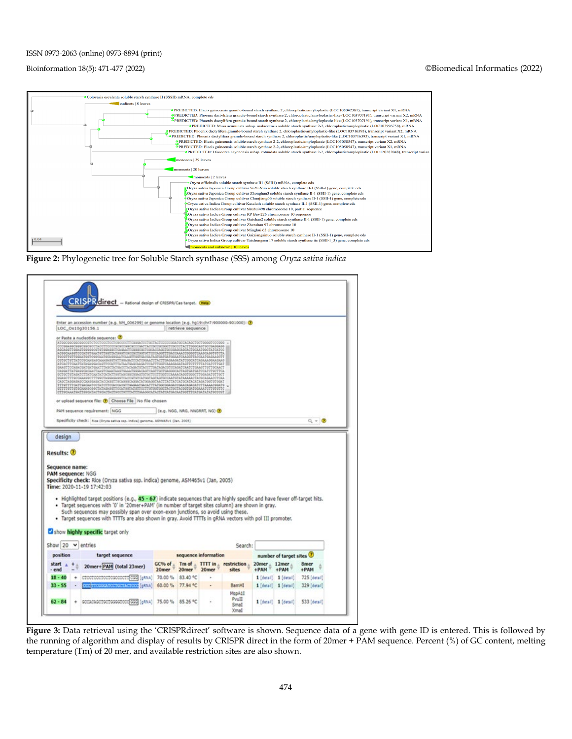#### ISSN 0973-2063 (online) 0973-8894 (print)

#### Bioinformation 18(5): 471-477 (2022) ©Biomedical Informatics (2022)







**Figure 3:** Data retrieval using the 'CRISPRdirect' software is shown. Sequence data of a gene with gene ID is entered. This is followed by the running of algorithm and display of results by CRISPR direct in the form of 20mer + PAM sequence. Percent (%) of GC content, melting temperature (Tm) of 20 mer, and available restriction sites are also shown.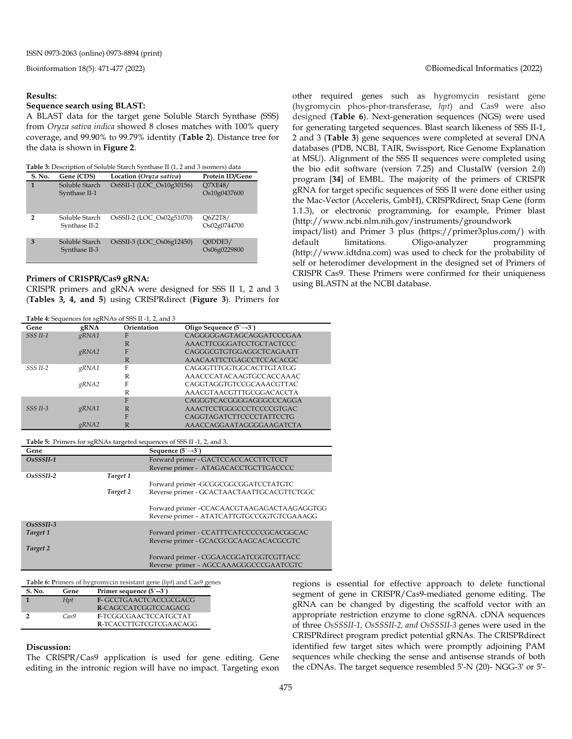#### **Results:**

#### **Sequence search using BLAST:**

A BLAST data for the target gene Soluble Starch Synthase (SSS) from *Oryza sativa indica* showed 8 closes matches with 100% query coverage, and 99.90% to 99.79% identity (**Table 2**). Distance tree for the data is shown in **Figure 2**.

| Table 3: Description of Soluble Starch Synthase II (1, 2 and 3 isomers) data |  |
|------------------------------------------------------------------------------|--|
|------------------------------------------------------------------------------|--|

| S. No.         | Gene (CDS)                      | Location (Oryza sativa)   | Protein ID/Gene                |
|----------------|---------------------------------|---------------------------|--------------------------------|
| 1              | Soluble Starch<br>Synthase II-1 | OsSSII-1 (LOC_Os10g30156) | <b>O7XE48/</b><br>Os10g0437600 |
| $\overline{2}$ | Soluble Starch<br>Synthase II-2 | OsSSII-2 (LOC Os02g51070) | O6Z2T8/<br>Os02g0744700        |
| 3              | Soluble Starch<br>Synthase II-3 | OsSSII-3 (LOC Os06g12450) | O0DDE3/<br>Os06g0229800        |

#### **Primers of CRISPR/Cas9 gRNA:**

CRISPR primers and gRNA were designed for SSS II 1, 2 and 3 (**Tables 3, 4, and 5**) using CRISPRdirect (**Figure 3**). Primers for

| Gene                | gRNA  | Orientation | Oligo Sequence $(5\rightarrow 3)$ |
|---------------------|-------|-------------|-----------------------------------|
| SSS <sub>II-1</sub> | gRNA1 | F           | CAGGGGGAGTAGCAGGATCCCGAA          |
|                     |       | R           | AAACTTCGGGATCCTGCTACTCCC          |
|                     | gRNA2 | F           | CAGGGCGTGTGGAGGCTCAGAATT          |
|                     |       | R           | AAACAATTCTGAGCCTCCACACGC          |
| <b>SSS II-2</b>     | gRNA1 | F           | CAGGGTTTGGTGGCACTTGTATGG          |
|                     |       | R           | AAACCCATACAAGTGCCACCAAAC          |
|                     | gRNA2 | F           | CAGGTAGGTGTCCGCAAACGTTAC          |
|                     |       | R           | AAACGTAACGTTTGCGGACACCTA          |
|                     |       | F           | CAGGGTCACGGGGAGGGCCCAGGA          |
| <b>SSS II-3</b>     | gRNA1 | R           | AAACTCCTGGGCCCTCCCCGTGAC          |
|                     |       | F           | CAGGTAGATCTTCCCCTATTCCTG          |
|                     | gRNA2 |             | AAACCAGGAATAGGGGAAGATCTA          |

**Table 5:** Primers for sgRNAs targeted sequences of SSS II -1, 2, and 3.

| Gene        |          | Sequence $(5\rightarrow 3)$                |
|-------------|----------|--------------------------------------------|
| $OsSSSII-1$ |          | Forward primer - GACTCCACCACCTTCTCCT       |
|             |          | Reverse primer - ATAGACACCTGCTTGACCCC      |
| $OsSSSII-2$ | Target 1 |                                            |
|             |          | Forward primer -GCGGCGGCGGATCCTATGTC       |
|             | Target 2 | Reverse primer - GCACTAACTAATTGCACGTTCTGGC |
|             |          | Forward primer -CCACAACGTAAGAGACTAAGAGGTGG |
|             |          | Reverse primer - ATATCATTGTGCCGGTGTCGAAAGG |
| $OSSSSII-3$ |          |                                            |
| Target 1    |          | Forward primer - CCATTTCATCCCCCGCACGGCAC   |
|             |          | Reverse primer - GCACGCGCAAGCACACGCGTC     |
| Target 2    |          |                                            |
|             |          | Forward primer - CGGAACGGATCGGTCGTTACC     |
|             |          | Reverse primer - AGCCAAAGGGCCCGAATCGTC     |

**Table 6: P**rimers of hygromycin resistant gene (*hpt*) and Cas9 genes

| S. No. | Gene | Primer sequence $(5^{\sim}-3^{\sim})$ |
|--------|------|---------------------------------------|
|        | Hpt  | <b>F-GCCTGAACTCACCGCGACG</b>          |
|        |      | R-CAGCCATCGGTCCAGACG                  |
|        | Cas9 | F-TCGGCGAACTCCATGCTAT                 |
|        |      | R-TCACCTTGTCGTCGAACAGG                |

**Discussion:**

The CRISPR/Cas9 application is used for gene editing. Gene editing in the intronic region will have no impact. Targeting exon

other required genes such as hygromycin resistant gene (hygromycin phos-phor-transferase, *hpt*) and Cas9 were also designed (**Table 6**). Next-generation sequences (NGS) were used for generating targeted sequences. Blast search likeness of SSS II-1, 2 and 3 (**Table 3**) gene sequences were completed at several DNA databases (PDB, NCBI, TAIR, Swissport, Rice Genome Explanation at MSU). Alignment of the SSS II sequences were completed using the bio edit software (version 7.25) and ClustalW (version 2.0) program [**34**] of EMBL. The majority of the primers of CRISPR gRNA for target specific sequences of SSS II were done either using the Mac-Vector (Acceleris, GmbH), CRISPRdirect, Snap Gene (form 1.1.3), or electronic programming, for example, Primer blast (http://www.ncbi.nlm.nih.gov/instruments/groundwork

impact/list) and Primer 3 plus (https://primer3plus.com/) with default limitations. Oligo-analyzer programming (http://www.idtdna.com) was used to check for the probability of self or heterodimer development in the designed set of Primers of CRISPR Cas9. These Primers were confirmed for their uniqueness using BLASTN at the NCBI database.

regions is essential for effective approach to delete functional segment of gene in CRISPR/Cas9-mediated genome editing. The gRNA can be changed by digesting the scaffold vector with an appropriate restriction enzyme to clone sgRNA. cDNA sequences of three *OsSSSII-1, OsSSSII-2, and OsSSSII-3* genes were used in the CRISPRdirect program predict potential gRNAs. The CRISPRdirect identified few target sites which were promptly adjoining PAM sequences while checking the sense and antisense strands of both the cDNAs. The target sequence resembled 5′-N (20)- NGG-3′ or 5′-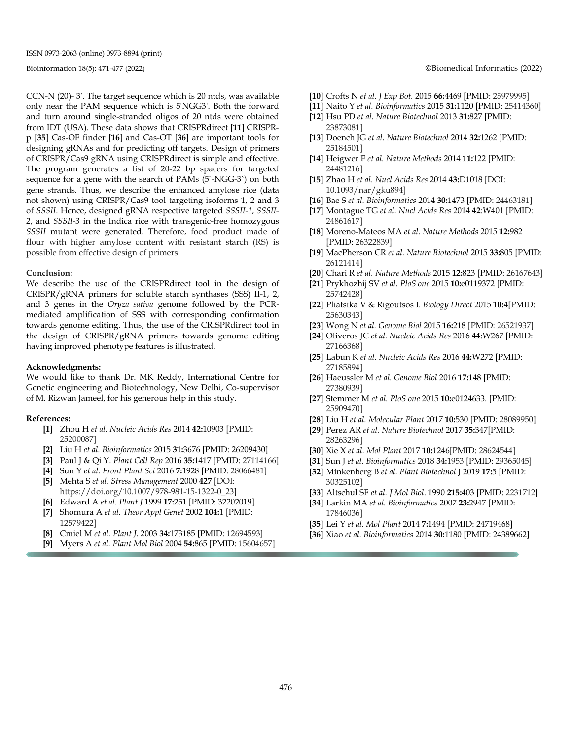CCN-N (20)- 3′. The target sequence which is 20 ntds, was available only near the PAM sequence which is 5'NGG3'. Both the forward and turn around single-stranded oligos of 20 ntds were obtained from IDT (USA). These data shows that CRISPRdirect [**11**] CRISPRp [**35**] Cas-OF finder [**16**] and Cas-OT [**36**] are important tools for designing gRNAs and for predicting off targets. Design of primers of CRISPR/Cas9 gRNA using CRISPRdirect is simple and effective. The program generates a list of 20-22 bp spacers for targeted sequence for a gene with the search of PAMs (5`-NGG-3`) on both gene strands. Thus, we describe the enhanced amylose rice (data not shown) using CRISPR/Cas9 tool targeting isoforms 1, 2 and 3 of *SSSII*. Hence, designed gRNA respective targeted *SSSII-1, SSSII-2*, and *SSSII-3* in the Indica rice with transgenic-free homozygous *SSSII* mutant were generated. Therefore, food product made of flour with higher amylose content with resistant starch (RS) is possible from effective design of primers.

#### **Conclusion:**

We describe the use of the CRISPRdirect tool in the design of CRISPR/gRNA primers for soluble starch synthases (SSS) II-1, 2, and 3 genes in the *Oryza sativa* genome followed by the PCRmediated amplification of SSS with corresponding confirmation towards genome editing. Thus, the use of the CRISPRdirect tool in the design of CRISPR/gRNA primers towards genome editing having improved phenotype features is illustrated.

#### **Acknowledgments:**

We would like to thank Dr. MK Reddy, International Centre for Genetic engineering and Biotechnology, New Delhi, Co-supervisor of M. Rizwan Jameel, for his generous help in this study.

#### **References:**

- **[1]** Zhou H *et al. Nucleic Acids Res* 2014 **42:**10903 [PMID: 25200087]
- **[2]** Liu H *et al. Bioinformatics* 2015 **31:**3676 [PMID: 26209430]
- **[3]** Paul J & Qi Y. *Plant Cell Rep* 2016 **35:**1417 [PMID: 27114166]
- **[4]** Sun Y *et al. Front Plant Sci* 2016 **7:**1928 [PMID: 28066481]
- **[5]** Mehta S *et al. Stress Management* 2000 **427** [DOI: https://doi.org/10.1007/978-981-15-1322-0\_23]
- **[6]** Edward A *et al. Plant J* 1999 **17:**251 [PMID: 32202019]
- **[7]** Shomura A *et al. Theor Appl Genet* 2002 **104:**1 [PMID: 12579422]
- **[8]** Cmiel M *et al. Plant J.* 2003 **34:**173185 [PMID: 12694593]
- **[9]** Myers A *et al. Plant Mol Biol* 2004 **54:**865 [PMID: 15604657]

#### Bioinformation 18(5): 471-477 (2022) ©Biomedical Informatics (2022)

- **[10]** Crofts N *et al. J Exp Bot.* 2015 **66:**4469 [PMID: 25979995]
- **[11]** Naito Y *et al. Bioinformatics* 2015 **31:**1120 [PMID: 25414360]
- **[12]** Hsu PD *et al. Nature Biotechnol* 2013 **31:**827 [PMID: 23873081]
- **[13]** Doench JG *et al. Nature Biotechnol* 2014 **32:**1262 [PMID: 25184501]
- **[14]** Heigwer F *et al. Nature Methods* 2014 **11:**122 [PMID: 24481216]
- **[15]** Zhao H *et al. Nucl Acids Res* 2014 **43:**D1018 [DOI: 10.1093/nar/gku894]
- **[16]** Bae S *et al. Bioinformatics* 2014 **30:**1473 [PMID: 24463181]
- **[17]** Montague TG *et al. Nucl Acids Res* 2014 **42**:W401 [PMID: 24861617]
- **[18]** Moreno-Mateos MA *et al. Nature Methods* 2015 **12:**982 [PMID: 26322839]
- **[19]** MacPherson CR *et al. Nature Biotechnol* 2015 **33:**805 [PMID: 26121414]
- **[20]** Chari R *et al. Nature Methods* 2015 **12:**823 [PMID: 26167643]
- **[21]** Prykhozhij SV *et al. PloS one* 2015 **10:**e0119372 [PMID: 25742428]
- **[22]** Pliatsika V & Rigoutsos I. *Biology Direct* 2015 **10:**4[PMID: 25630343]
- **[23]** Wong N *et al. Genome Biol* 2015 **16:**218 [PMID: 26521937]
- **[24]** Oliveros JC *et al. Nucleic Acids Res* 2016 **44**:W267 [PMID: 27166368]
- **[25]** Labun K *et al. Nucleic Acids Res* 2016 **44:**W272 [PMID: 27185894]
- **[26]** Haeussler M *et al. Genome Biol* 2016 **17:**148 [PMID: 27380939]
- **[27]** Stemmer M *et al. PloS one* 2015 **10:**e0124633. [PMID: 25909470]
- **[28]** Liu H *et al. Molecular Plant* 2017 **10:**530 [PMID: 28089950]
- **[29]** Perez AR *et al. Nature Biotechnol* 2017 **35:**347[PMID: 28263296]
- **[30]** Xie X *et al. Mol Plant* 2017 **10:**1246[PMID: 28624544]
- **[31]** Sun J *et al. Bioinformatics* 2018 **34:**1953 [PMID: 29365045]
- **[32]** Minkenberg B *et al. Plant Biotechnol* J 2019 **17:**5 [PMID: 30325102]
- **[33]** Altschul SF *et al. J Mol Biol*. 1990 **215:**403 [PMID: 2231712]
- **[34]** Larkin MA *et al. Bioinformatics* 2007 **23:**2947 [PMID: 17846036]
- **[35]** Lei Y *et al. Mol Plant* 2014 **7:**1494 [PMID: 24719468]
- **[36]** Xiao *et al. Bioinformatics* 2014 **30:**1180 [PMID: 24389662]